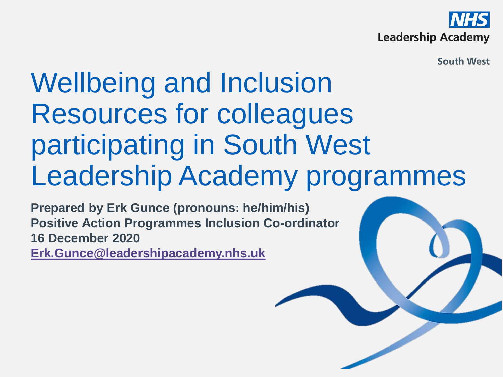

**South West** 

## Wellbeing and Inclusion Resources for colleagues participating in South West Leadership Academy programmes

**Prepared by Erk Gunce (pronouns: he/him/his) Positive Action Programmes Inclusion Co-ordinator 16 December 2020 [Erk.Gunce@leadershipacademy.nhs.uk](mailto:Erk.Gunce@leadershipacademy.nhs.uk)**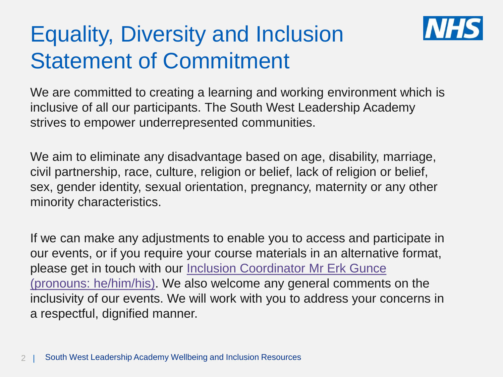## Equality, Diversity and Inclusion Statement of Commitment



We are committed to creating a learning and working environment which is inclusive of all our participants. The South West Leadership Academy strives to empower underrepresented communities.

We aim to eliminate any disadvantage based on age, disability, marriage, civil partnership, race, culture, religion or belief, lack of religion or belief, sex, gender identity, sexual orientation, pregnancy, maternity or any other minority characteristics.

If we can make any adjustments to enable you to access and participate in our events, or if you require your course materials in an alternative format, please get in touch with our Inclusion Coordinator Mr Erk Gunce [\(pronouns: he/him/his\). We also welcome any general comments](mailto:erk.gunce@improvement.nhs.uk) on the inclusivity of our events. We will work with you to address your concerns in a respectful, dignified manner.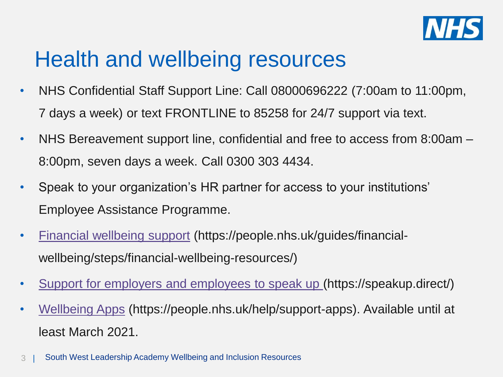

## Health and wellbeing resources

- NHS Confidential Staff Support Line: Call 08000696222 (7:00am to 11:00pm, 7 days a week) or text FRONTLINE to 85258 for 24/7 support via text.
- NHS Bereavement support line, confidential and free to access from 8:00am 8:00pm, seven days a week. Call 0300 303 4434.
- Speak to your organization's HR partner for access to your institutions' Employee Assistance Programme.
- [Financial wellbeing support](https://people.nhs.uk/guides/financial-wellbeing/steps/financial-wellbeing-resources/) (https://people.nhs.uk/guides/financialwellbeing/steps/financial-wellbeing-resources/)
- [Support for employers and employees to speak up \(](https://speakup.direct/)https://speakup.direct/)
- [Wellbeing Apps](https://people.nhs.uk/help/support-apps) (https://people.nhs.uk/help/support-apps). Available until at least March 2021.